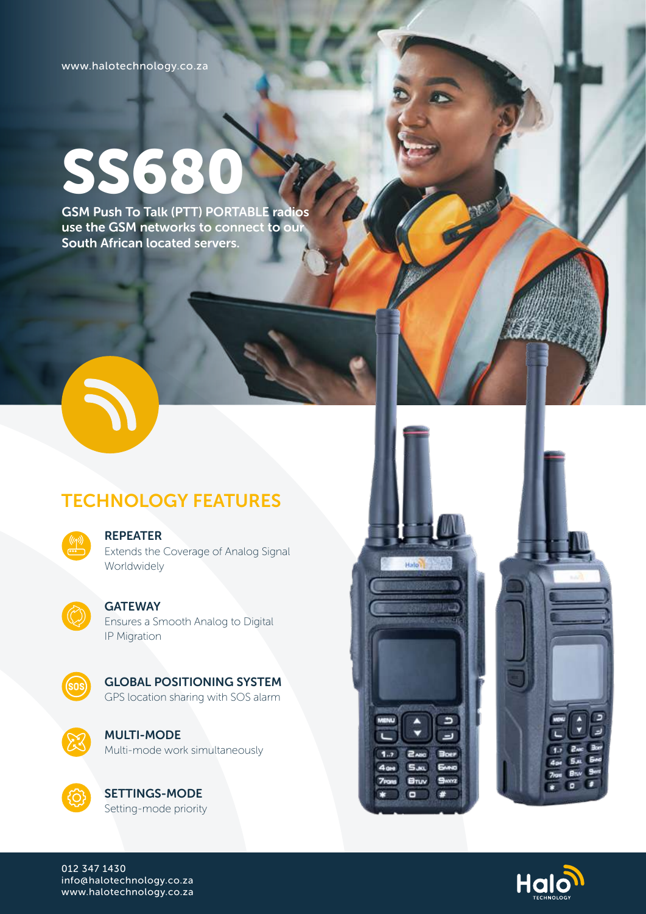www.halotechnology.co.za

# SS680

GSM Push To Talk (PTT) PORTABLE radios use the GSM networks to connect to our South African located servers.



## TECHNOLOGY FEATURES



#### REPEATER

Extends the Coverage of Analog Signal Worldwidely



#### **GATEWAY**

Ensures a Smooth Analog to Digital IP Migration



GLOBAL POSITIONING SYSTEM GPS location sharing with SOS alarm



MULTI-MODE Multi-mode work simultaneously



SETTINGS-MODE Setting-mode priority





012 347 1430 info@halotechnology.co.za www.halotechnology.co.za